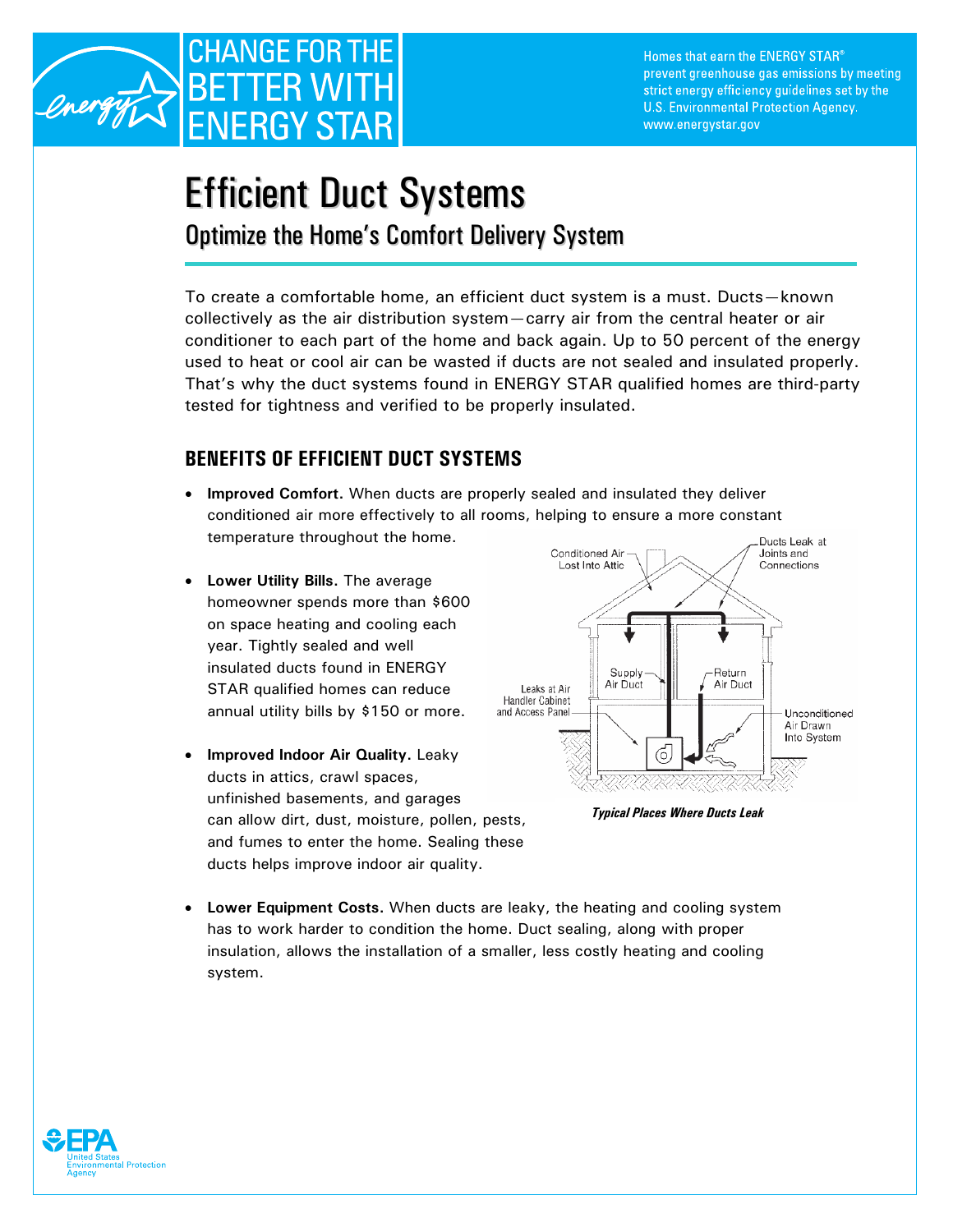

## Efficient Duct Systems

Optimize the Home's Comfort Delivery System

To create a comfortable home, an efficient duct system is a must. Ducts—known collectively as the air distribution system—carry air from the central heater or air conditioner to each part of the home and back again. Up to 50 percent of the energy used to heat or cool air can be wasted if ducts are not sealed and insulated properly. That's why the duct systems found in ENERGY STAR qualified homes are third-party tested for tightness and verified to be properly insulated.

## **BENEFITS OF EFFICIENT DUCT SYSTEMS**

- **Improved Comfort.** When ducts are properly sealed and insulated they deliver conditioned air more effectively to all rooms, helping to ensure a more constant temperature throughout the home.
- **Lower Utility Bills.** The average homeowner spends more than \$600 on space heating and cooling each year. Tightly sealed and well insulated ducts found in ENERGY STAR qualified homes can reduce annual utility bills by \$150 or more.
- **Improved Indoor Air Quality.** Leaky ducts in attics, crawl spaces, unfinished basements, and garages can allow dirt, dust, moisture, pollen, pests, and fumes to enter the home. Sealing these ducts helps improve indoor air quality.



*Typical Places Where Ducts Leak* 

• **Lower Equipment Costs.** When ducts are leaky, the heating and cooling system has to work harder to condition the home. Duct sealing, along with proper insulation, allows the installation of a smaller, less costly heating and cooling system.